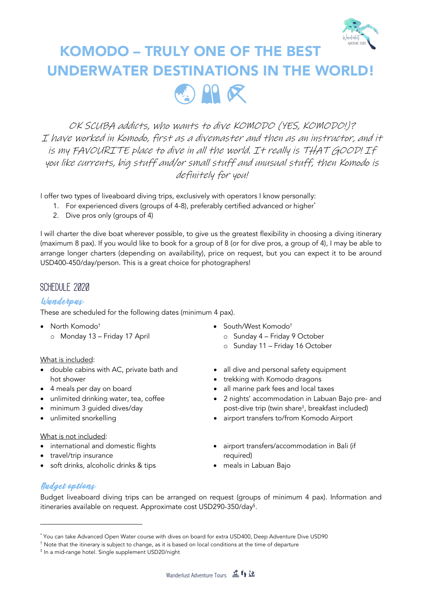

# KOMODO – TRULY ONE OF THE BEST UNDERWATER DESTINATIONS IN THE WORLD! 国阳民

OK SCUBA addicts, who wants to dive KOMODO (YES, KOMODO!)? I have worked in Komodo, first as a divemaster and then as an instructor, and it is my FAVOURITE place to dive in all the world. It really is THAT GOOD! If you like currents, big stuff and/or small stuff and unusual stuff, then Komodo is definitely for you!

I offer two types of liveaboard diving trips, exclusively with operators I know personally:

- 1. For experienced divers (groups of 4-8), preferably certified advanced or higher<sup>\*</sup>
	- 2. Dive pros only (groups of 4)

I will charter the dive boat wherever possible, to give us the greatest flexibility in choosing a diving itinerary (maximum 8 pax). If you would like to book for a group of 8 (or for dive pros, a group of 4), I may be able to arrange longer charters (depending on availability), price on request, but you can expect it to be around USD400-450/day/person. This is a great choice for photographers!

#### **Schedule 2020**

#### Wunderpus

These are scheduled for the following dates (minimum 4 pax).

• North Komodo† o Monday 13 – Friday 17 April

#### What is included:

- double cabins with AC, private bath and hot shower
- 4 meals per day on board
- unlimited drinking water, tea, coffee
- minimum 3 guided dives/day
- unlimited snorkelling

#### What is not included:

- international and domestic flights
- travel/trip insurance
- soft drinks, alcoholic drinks & tips
- South/West Komodo†
	- o Sunday 4 Friday 9 October
	- o Sunday 11 Friday 16 October
- all dive and personal safety equipment
- trekking with Komodo dragons
- all marine park fees and local taxes
- 2 nights' accommodation in Labuan Bajo pre- and post-dive trip (twin share‡ , breakfast included)
- airport transfers to/from Komodo Airport
- airport transfers/accommodation in Bali (if required)
- meals in Labuan Bajo

#### Budget options

Budget liveaboard diving trips can be arranged on request (groups of minimum 4 pax). Information and itineraries available on request. Approximate cost USD290-350/day§ .

<sup>\*</sup> You can take Advanced Open Water course with dives on board for extra USD400, Deep Adventure Dive USD90

<sup>†</sup> Note that the itinerary is subject to change, as it is based on local conditions at the time of departure

<sup>‡</sup> In a mid-range hotel. Single supplement USD20/night